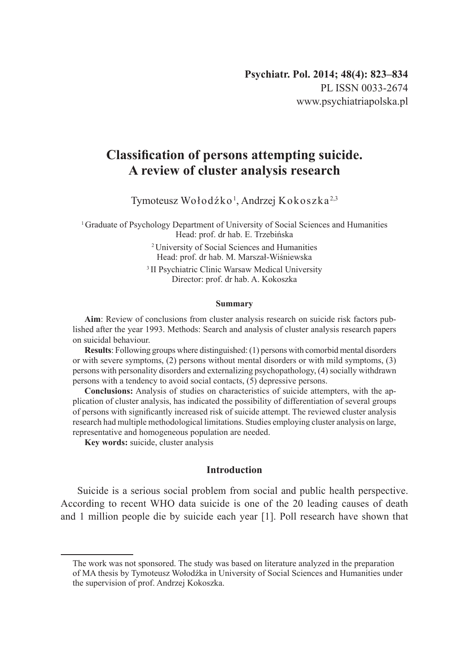# **Classification of persons attempting suicide. A review of cluster analysis research**

Tymoteusz Wołodźko<sup>1</sup>, Andrzej Kokoszka<sup>2,3</sup>

<sup>1</sup> Graduate of Psychology Department of University of Social Sciences and Humanities Head: prof. dr hab. E. Trzebińska

> <sup>2</sup>University of Social Sciences and Humanities Head: prof. dr hab. M. Marszał-Wiśniewska

<sup>3</sup>II Psychiatric Clinic Warsaw Medical University Director: prof. dr hab. A. Kokoszka

#### **Summary**

**Aim**: Review of conclusions from cluster analysis research on suicide risk factors published after the year 1993. Methods: Search and analysis of cluster analysis research papers on suicidal behaviour.

**Results**: Following groups where distinguished: (1) persons with comorbid mental disorders or with severe symptoms, (2) persons without mental disorders or with mild symptoms, (3) persons with personality disorders and externalizing psychopathology, (4) socially withdrawn persons with a tendency to avoid social contacts, (5) depressive persons.

**Conclusions:** Analysis of studies on characteristics of suicide attempters, with the application of cluster analysis, has indicated the possibility of differentiation of several groups of persons with significantly increased risk of suicide attempt. The reviewed cluster analysis research had multiple methodological limitations. Studies employing cluster analysis on large, representative and homogeneous population are needed.

**Key words:** suicide, cluster analysis

#### **Introduction**

Suicide is a serious social problem from social and public health perspective. According to recent WHO data suicide is one of the 20 leading causes of death and 1 million people die by suicide each year [1]. Poll research have shown that

The work was not sponsored. The study was based on literature analyzed in the preparation of MA thesis by Tymoteusz Wołodźka in University of Social Sciences and Humanities under the supervision of prof. Andrzej Kokoszka.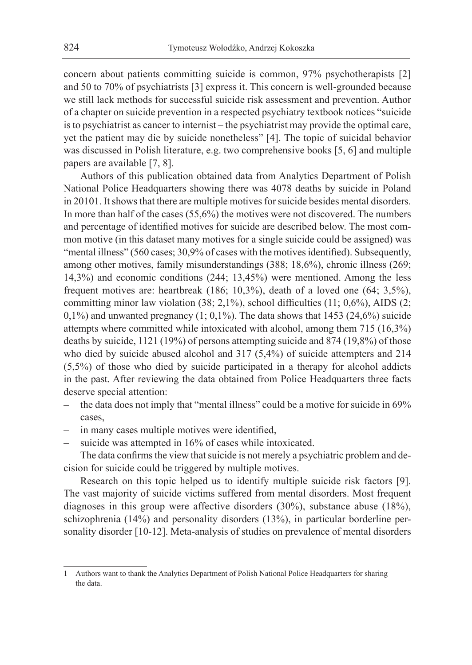concern about patients committing suicide is common, 97% psychotherapists [2] and 50 to 70% of psychiatrists [3] express it. This concern is well-grounded because we still lack methods for successful suicide risk assessment and prevention. Author of a chapter on suicide prevention in a respected psychiatry textbook notices "suicide is to psychiatrist as cancer to internist – the psychiatrist may provide the optimal care, yet the patient may die by suicide nonetheless" [4]. The topic of suicidal behavior was discussed in Polish literature, e.g. two comprehensive books [5, 6] and multiple papers are available [7, 8].

Authors of this publication obtained data from Analytics Department of Polish National Police Headquarters showing there was 4078 deaths by suicide in Poland in 20101. It shows that there are multiple motives for suicide besides mental disorders. In more than half of the cases (55,6%) the motives were not discovered. The numbers and percentage of identified motives for suicide are described below. The most common motive (in this dataset many motives for a single suicide could be assigned) was "mental illness" (560 cases; 30,9% of cases with the motives identified). Subsequently, among other motives, family misunderstandings (388; 18,6%), chronic illness (269; 14,3%) and economic conditions (244; 13,45%) were mentioned. Among the less frequent motives are: heartbreak (186; 10,3%), death of a loved one (64; 3,5%), committing minor law violation (38; 2,1%), school difficulties (11; 0,6%), AIDS (2;  $0,1\%$ ) and unwanted pregnancy  $(1; 0,1\%)$ . The data shows that 1453 (24,6%) suicide attempts where committed while intoxicated with alcohol, among them 715 (16,3%) deaths by suicide, 1121 (19%) of persons attempting suicide and 874 (19,8%) of those who died by suicide abused alcohol and 317 (5,4%) of suicide attempters and 214 (5,5%) of those who died by suicide participated in a therapy for alcohol addicts in the past. After reviewing the data obtained from Police Headquarters three facts deserve special attention:

- the data does not imply that "mental illness" could be a motive for suicide in 69% cases,
- in many cases multiple motives were identified,
- suicide was attempted in 16% of cases while intoxicated.

The data confirms the view that suicide is not merely a psychiatric problem and decision for suicide could be triggered by multiple motives.

Research on this topic helped us to identify multiple suicide risk factors [9]. The vast majority of suicide victims suffered from mental disorders. Most frequent diagnoses in this group were affective disorders (30%), substance abuse (18%), schizophrenia (14%) and personality disorders (13%), in particular borderline personality disorder [10-12]. Meta-analysis of studies on prevalence of mental disorders

<sup>1</sup> Authors want to thank the Analytics Department of Polish National Police Headquarters for sharing the data.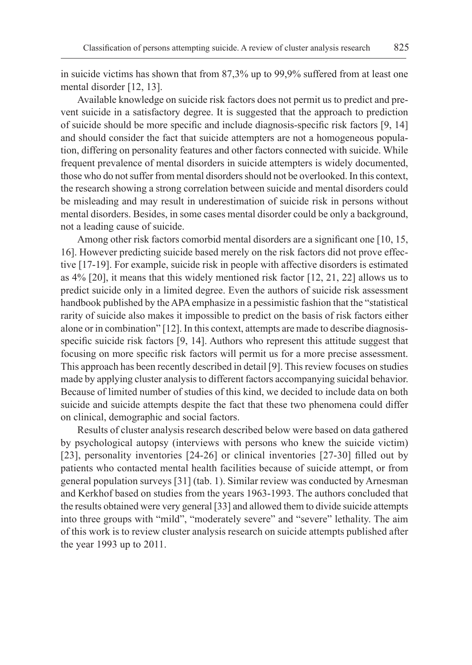in suicide victims has shown that from 87,3% up to 99,9% suffered from at least one mental disorder [12, 13].

Available knowledge on suicide risk factors does not permit us to predict and prevent suicide in a satisfactory degree. It is suggested that the approach to prediction of suicide should be more specific and include diagnosis-specific risk factors [9, 14] and should consider the fact that suicide attempters are not a homogeneous population, differing on personality features and other factors connected with suicide. While frequent prevalence of mental disorders in suicide attempters is widely documented, those who do not suffer from mental disorders should not be overlooked. In this context, the research showing a strong correlation between suicide and mental disorders could be misleading and may result in underestimation of suicide risk in persons without mental disorders. Besides, in some cases mental disorder could be only a background, not a leading cause of suicide.

Among other risk factors comorbid mental disorders are a significant one [10, 15, 16]. However predicting suicide based merely on the risk factors did not prove effective [17-19]. For example, suicide risk in people with affective disorders is estimated as 4% [20], it means that this widely mentioned risk factor [12, 21, 22] allows us to predict suicide only in a limited degree. Even the authors of suicide risk assessment handbook published by theAPA emphasize in a pessimistic fashion that the "statistical rarity of suicide also makes it impossible to predict on the basis of risk factors either alone or in combination" [12]. In this context, attempts are made to describe diagnosisspecific suicide risk factors [9, 14]. Authors who represent this attitude suggest that focusing on more specific risk factors will permit us for a more precise assessment. This approach has been recently described in detail [9]. This review focuses on studies made by applying cluster analysis to different factors accompanying suicidal behavior. Because of limited number of studies of this kind, we decided to include data on both suicide and suicide attempts despite the fact that these two phenomena could differ on clinical, demographic and social factors.

Results of cluster analysis research described below were based on data gathered by psychological autopsy (interviews with persons who knew the suicide victim) [23], personality inventories [24-26] or clinical inventories [27-30] filled out by patients who contacted mental health facilities because of suicide attempt, or from general population surveys [31] (tab. 1). Similar review was conducted by Arnesman and Kerkhof based on studies from the years 1963-1993. The authors concluded that the results obtained were very general [33] and allowed them to divide suicide attempts into three groups with "mild", "moderately severe" and "severe" lethality. The aim of this work is to review cluster analysis research on suicide attempts published after the year 1993 up to 2011.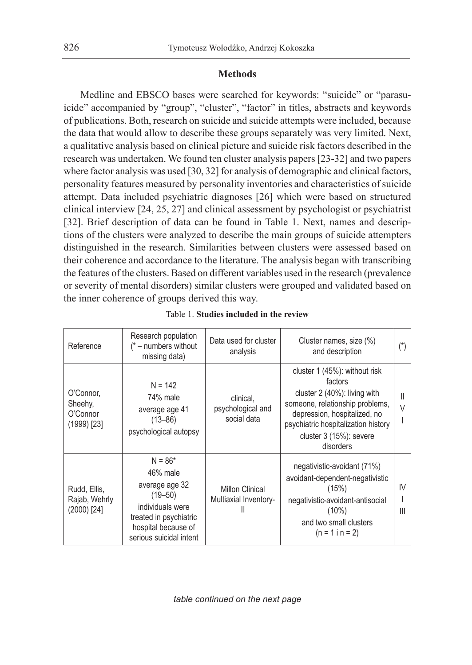## **Methods**

Medline and EBSCO bases were searched for keywords: "suicide" or "parasuicide" accompanied by "group", "cluster", "factor" in titles, abstracts and keywords of publications. Both, research on suicide and suicide attempts were included, because the data that would allow to describe these groups separately was very limited. Next, a qualitative analysis based on clinical picture and suicide risk factors described in the research was undertaken. We found ten cluster analysis papers [23-32] and two papers where factor analysis was used [30, 32] for analysis of demographic and clinical factors, personality features measured by personality inventories and characteristics of suicide attempt. Data included psychiatric diagnoses [26] which were based on structured clinical interview [24, 25, 27] and clinical assessment by psychologist or psychiatrist [32]. Brief description of data can be found in Table 1. Next, names and descriptions of the clusters were analyzed to describe the main groups of suicide attempters distinguished in the research. Similarities between clusters were assessed based on their coherence and accordance to the literature. The analysis began with transcribing the features of the clusters. Based on different variables used in the research (prevalence or severity of mental disorders) similar clusters were grouped and validated based on the inner coherence of groups derived this way.

| Reference                                         | Research population<br>$(* - numbers without)$<br>missing data)                                                                                        | Data used for cluster<br>analysis               | Cluster names, size (%)<br>and description                                                                                                                                                                                 |                      |
|---------------------------------------------------|--------------------------------------------------------------------------------------------------------------------------------------------------------|-------------------------------------------------|----------------------------------------------------------------------------------------------------------------------------------------------------------------------------------------------------------------------------|----------------------|
| O'Connor,<br>Sheehy,<br>O'Connor<br>$(1999)$ [23] | $N = 142$<br>74% male<br>average age 41<br>$(13 - 86)$<br>psychological autopsy                                                                        | clinical,<br>psychological and<br>social data   | cluster 1 (45%): without risk<br>factors<br>cluster 2 (40%): living with<br>someone, relationship problems,<br>depression, hospitalized, no<br>psychiatric hospitalization history<br>cluster 3 (15%): severe<br>disorders | Ш<br>$\vee$          |
| Rudd, Ellis,<br>Rajab, Wehrly<br>$(2000)$ $[24]$  | $N = 86*$<br>46% male<br>average age 32<br>$(19 - 50)$<br>individuals were<br>treated in psychiatric<br>hospital because of<br>serious suicidal intent | <b>Millon Clinical</b><br>Multiaxial Inventory- | negativistic-avoidant (71%)<br>avoidant-dependent-negativistic<br>(15%)<br>negativistic-avoidant-antisocial<br>$(10\%)$<br>and two small clusters<br>$(n = 1 in = 2)$                                                      | IV<br>$\mathsf{III}$ |

*table continued on the next page*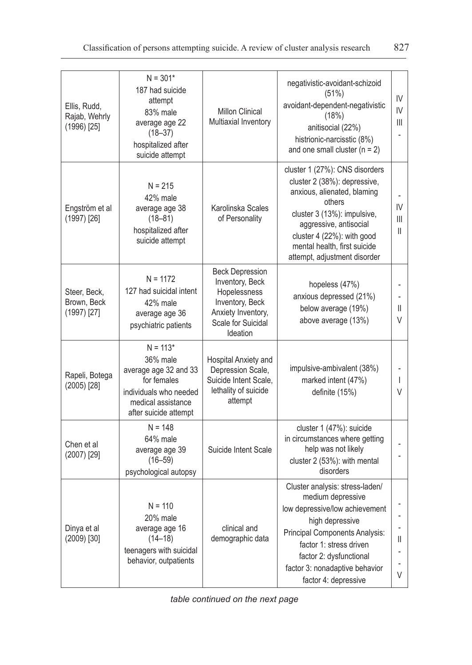| Ellis, Rudd,<br>Rajab, Wehrly<br>$(1996)$ [25] | $N = 301*$<br>187 had suicide<br>attempt<br>83% male<br>average age 22<br>$(18 - 37)$<br>hospitalized after<br>suicide attempt          | <b>Millon Clinical</b><br>Multiaxial Inventory                                                                                       | negativistic-avoidant-schizoid<br>(51%)<br>avoidant-dependent-negativistic<br>(18%)<br>anitisocial (22%)<br>histrionic-narcisstic (8%)<br>and one small cluster $(n = 2)$                                                                                      | IV<br>$\mathsf{IV}$<br>III |
|------------------------------------------------|-----------------------------------------------------------------------------------------------------------------------------------------|--------------------------------------------------------------------------------------------------------------------------------------|----------------------------------------------------------------------------------------------------------------------------------------------------------------------------------------------------------------------------------------------------------------|----------------------------|
| Engström et al<br>$(1997)$ [26]                | $N = 215$<br>42% male<br>average age 38<br>$(18 - 81)$<br>hospitalized after<br>suicide attempt                                         | Karolinska Scales<br>of Personality                                                                                                  | cluster 1 (27%): CNS disorders<br>cluster 2 (38%): depressive,<br>anxious, alienated, blaming<br>others<br>cluster 3 (13%): impulsive,<br>aggressive, antisocial<br>cluster 4 (22%): with good<br>mental health, first suicide<br>attempt, adjustment disorder | IV<br>III<br>Ш             |
| Steer. Beck.<br>Brown, Beck<br>$(1997)$ [27]   | $N = 1172$<br>127 had suicidal intent<br>42% male<br>average age 36<br>psychiatric patients                                             | <b>Beck Depression</b><br>Inventory, Beck<br>Hopelessness<br>Inventory, Beck<br>Anxiety Inventory,<br>Scale for Suicidal<br>Ideation | hopeless (47%)<br>anxious depressed (21%)<br>below average (19%)<br>above average (13%)                                                                                                                                                                        | Ш<br>V                     |
| Rapeli, Botega<br>$(2005)$ [28]                | $N = 113*$<br>36% male<br>average age 32 and 33<br>for females<br>individuals who needed<br>medical assistance<br>after suicide attempt | Hospital Anxiety and<br>Depression Scale,<br>Suicide Intent Scale,<br>lethality of suicide<br>attempt                                | impulsive-ambivalent (38%)<br>marked intent (47%)<br>definite (15%)                                                                                                                                                                                            | I<br>V                     |
| Chen et al<br>(2007) [29]                      | $N = 148$<br>64% male<br>average age 39<br>$(16 - 59)$<br>psychological autopsy                                                         | Suicide Intent Scale                                                                                                                 | cluster 1 (47%): suicide<br>in circumstances where getting<br>help was not likely<br>cluster 2 (53%): with mental<br>disorders                                                                                                                                 |                            |
| Dinya et al<br>$(2009)$ [30]                   | $N = 110$<br>20% male<br>average age 16<br>$(14 - 18)$<br>teenagers with suicidal<br>behavior, outpatients                              | clinical and<br>demographic data                                                                                                     | Cluster analysis: stress-laden/<br>medium depressive<br>low depressive/low achievement<br>high depressive<br>Principal Components Analysis:<br>factor 1: stress driven<br>factor 2: dysfunctional<br>factor 3: nonadaptive behavior<br>factor 4: depressive    | Ш<br>V                     |

*table continued on the next page*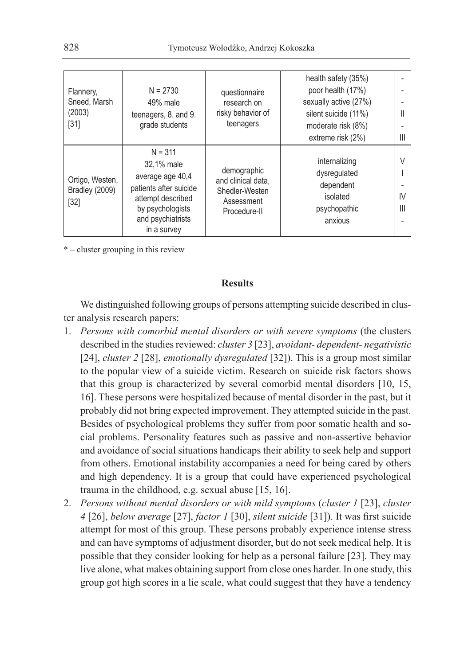| Flannery,<br>Sneed, Marsh<br>(2003)<br>$[31]$ | $N = 2730$<br>49% male<br>teenagers, 8. and 9.<br>grade students                                                                                   | questionnaire<br>research on<br>risky behavior of<br>teenagers                    | health safety (35%)<br>poor health (17%)<br>sexually active (27%)<br>silent suicide (11%)<br>moderate risk (8%)<br>extreme risk (2%) | Ш<br>Ш       |
|-----------------------------------------------|----------------------------------------------------------------------------------------------------------------------------------------------------|-----------------------------------------------------------------------------------|--------------------------------------------------------------------------------------------------------------------------------------|--------------|
| Ortigo, Westen,<br>Bradley (2009)<br>$[32]$   | $N = 311$<br>32,1% male<br>average age 40,4<br>patients after suicide<br>attempt described<br>by psychologists<br>and psychiatrists<br>in a survey | demographic<br>and clinical data,<br>Shedler-Westen<br>Assessment<br>Procedure-II | internalizing<br>dysregulated<br>dependent<br>isolated<br>psychopathic<br>anxious                                                    | V<br>IV<br>Ш |

\* – cluster grouping in this review

## **Results**

We distinguished following groups of persons attempting suicide described in cluster analysis research papers:

- 1. *Persons with comorbid mental disorders or with severe symptoms* (the clusters described in the studies reviewed: *cluster 3* [23], *avoidant- dependent- negativistic*  [24], *cluster 2* [28], *emotionally dysregulated* [32]). This is a group most similar to the popular view of a suicide victim. Research on suicide risk factors shows that this group is characterized by several comorbid mental disorders [10, 15, 16]. These persons were hospitalized because of mental disorder in the past, but it probably did not bring expected improvement. They attempted suicide in the past. Besides of psychological problems they suffer from poor somatic health and social problems. Personality features such as passive and non-assertive behavior and avoidance of social situations handicaps their ability to seek help and support from others. Emotional instability accompanies a need for being cared by others and high dependency. It is a group that could have experienced psychological trauma in the childhood, e.g. sexual abuse [15, 16].
- 2. *Persons without mental disorders or with mild symptoms* (*cluster 1* [23], *cluster 4* [26], *below average* [27], *factor 1* [30], *silent suicide* [31]). It was first suicide attempt for most of this group. These persons probably experience intense stress and can have symptoms of adjustment disorder, but do not seek medical help. It is possible that they consider looking for help as a personal failure [23]. They may live alone, what makes obtaining support from close ones harder. In one study, this group got high scores in a lie scale, what could suggest that they have a tendency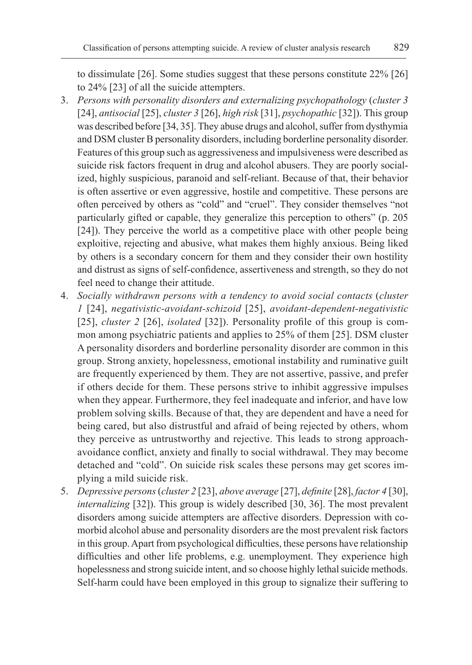to dissimulate [26]. Some studies suggest that these persons constitute 22% [26] to 24% [23] of all the suicide attempters.

- 3. *Persons with personality disorders and externalizing psychopathology* (*cluster 3*  [24], *antisocial* [25], *cluster 3* [26], *high risk* [31], *psychopathic* [32]). This group was described before [34, 35]. They abuse drugs and alcohol, suffer from dysthymia and DSM cluster B personality disorders, including borderline personality disorder. Features of this group such as aggressiveness and impulsiveness were described as suicide risk factors frequent in drug and alcohol abusers. They are poorly socialized, highly suspicious, paranoid and self-reliant. Because of that, their behavior is often assertive or even aggressive, hostile and competitive. These persons are often perceived by others as "cold" and "cruel". They consider themselves "not particularly gifted or capable, they generalize this perception to others" (p. 205 [24]). They perceive the world as a competitive place with other people being exploitive, rejecting and abusive, what makes them highly anxious. Being liked by others is a secondary concern for them and they consider their own hostility and distrust as signs of self-confidence, assertiveness and strength, so they do not feel need to change their attitude.
- 4. *Socially withdrawn persons with a tendency to avoid social contacts* (*cluster 1* [24], *negativistic-avoidant-schizoid* [25], *avoidant-dependent-negativistic*  [25], *cluster 2* [26], *isolated* [32]). Personality profile of this group is common among psychiatric patients and applies to 25% of them [25]. DSM cluster A personality disorders and borderline personality disorder are common in this group. Strong anxiety, hopelessness, emotional instability and ruminative guilt are frequently experienced by them. They are not assertive, passive, and prefer if others decide for them. These persons strive to inhibit aggressive impulses when they appear. Furthermore, they feel inadequate and inferior, and have low problem solving skills. Because of that, they are dependent and have a need for being cared, but also distrustful and afraid of being rejected by others, whom they perceive as untrustworthy and rejective. This leads to strong approachavoidance conflict, anxiety and finally to social withdrawal. They may become detached and "cold". On suicide risk scales these persons may get scores implying a mild suicide risk.
- 5. *Depressive persons* (*cluster 2* [23], *above average* [27], *definite* [28], *factor 4* [30], *internalizing* [32]). This group is widely described [30, 36]. The most prevalent disorders among suicide attempters are affective disorders. Depression with comorbid alcohol abuse and personality disorders are the most prevalent risk factors in this group. Apart from psychological difficulties, these persons have relationship difficulties and other life problems, e.g. unemployment. They experience high hopelessness and strong suicide intent, and so choose highly lethal suicide methods. Self-harm could have been employed in this group to signalize their suffering to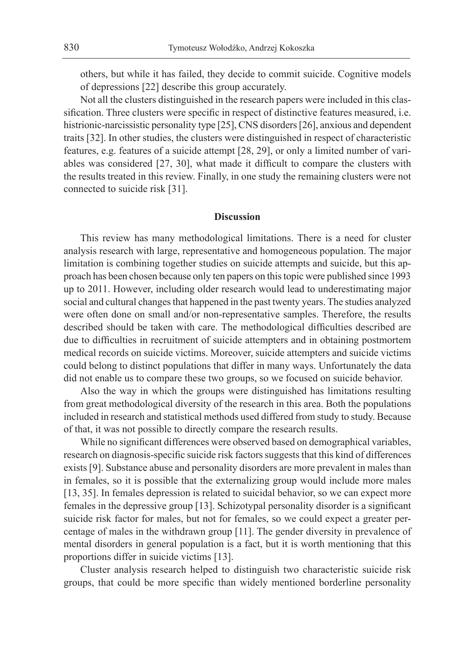others, but while it has failed, they decide to commit suicide. Cognitive models of depressions [22] describe this group accurately.

Not all the clusters distinguished in the research papers were included in this classification. Three clusters were specific in respect of distinctive features measured, i.e. histrionic-narcissistic personality type [25], CNS disorders [26], anxious and dependent traits [32]. In other studies, the clusters were distinguished in respect of characteristic features, e.g. features of a suicide attempt [28, 29], or only a limited number of variables was considered [27, 30], what made it difficult to compare the clusters with the results treated in this review. Finally, in one study the remaining clusters were not connected to suicide risk [31].

### **Discussion**

This review has many methodological limitations. There is a need for cluster analysis research with large, representative and homogeneous population. The major limitation is combining together studies on suicide attempts and suicide, but this approach has been chosen because only ten papers on this topic were published since 1993 up to 2011. However, including older research would lead to underestimating major social and cultural changes that happened in the past twenty years. The studies analyzed were often done on small and/or non-representative samples. Therefore, the results described should be taken with care. The methodological difficulties described are due to difficulties in recruitment of suicide attempters and in obtaining postmortem medical records on suicide victims. Moreover, suicide attempters and suicide victims could belong to distinct populations that differ in many ways. Unfortunately the data did not enable us to compare these two groups, so we focused on suicide behavior.

Also the way in which the groups were distinguished has limitations resulting from great methodological diversity of the research in this area. Both the populations included in research and statistical methods used differed from study to study. Because of that, it was not possible to directly compare the research results.

While no significant differences were observed based on demographical variables, research on diagnosis-specific suicide risk factors suggests that this kind of differences exists [9]. Substance abuse and personality disorders are more prevalent in males than in females, so it is possible that the externalizing group would include more males [13, 35]. In females depression is related to suicidal behavior, so we can expect more females in the depressive group [13]. Schizotypal personality disorder is a significant suicide risk factor for males, but not for females, so we could expect a greater percentage of males in the withdrawn group [11]. The gender diversity in prevalence of mental disorders in general population is a fact, but it is worth mentioning that this proportions differ in suicide victims [13].

Cluster analysis research helped to distinguish two characteristic suicide risk groups, that could be more specific than widely mentioned borderline personality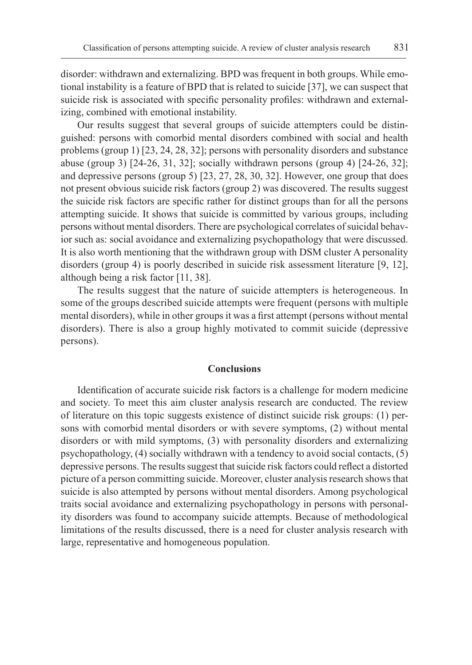disorder: withdrawn and externalizing. BPD was frequent in both groups. While emotional instability is a feature of BPD that is related to suicide [37], we can suspect that suicide risk is associated with specific personality profiles: withdrawn and externalizing, combined with emotional instability.

Our results suggest that several groups of suicide attempters could be distinguished: persons with comorbid mental disorders combined with social and health problems (group 1) [23, 24, 28, 32]; persons with personality disorders and substance abuse (group 3) [24-26, 31, 32]; socially withdrawn persons (group 4) [24-26, 32]; and depressive persons (group 5) [23, 27, 28, 30, 32]. However, one group that does not present obvious suicide risk factors (group 2) was discovered. The results suggest the suicide risk factors are specific rather for distinct groups than for all the persons attempting suicide. It shows that suicide is committed by various groups, including persons without mental disorders. There are psychological correlates of suicidal behavior such as: social avoidance and externalizing psychopathology that were discussed. It is also worth mentioning that the withdrawn group with DSM cluster A personality disorders (group 4) is poorly described in suicide risk assessment literature [9, 12], although being a risk factor [11, 38].

The results suggest that the nature of suicide attempters is heterogeneous. In some of the groups described suicide attempts were frequent (persons with multiple mental disorders), while in other groups it was a first attempt (persons without mental disorders). There is also a group highly motivated to commit suicide (depressive persons).

# **Conclusions**

Identification of accurate suicide risk factors is a challenge for modern medicine and society. To meet this aim cluster analysis research are conducted. The review of literature on this topic suggests existence of distinct suicide risk groups: (1) persons with comorbid mental disorders or with severe symptoms, (2) without mental disorders or with mild symptoms, (3) with personality disorders and externalizing psychopathology, (4) socially withdrawn with a tendency to avoid social contacts, (5) depressive persons. The results suggest that suicide risk factors could reflect a distorted picture of a person committing suicide. Moreover, cluster analysis research shows that suicide is also attempted by persons without mental disorders. Among psychological traits social avoidance and externalizing psychopathology in persons with personality disorders was found to accompany suicide attempts. Because of methodological limitations of the results discussed, there is a need for cluster analysis research with large, representative and homogeneous population.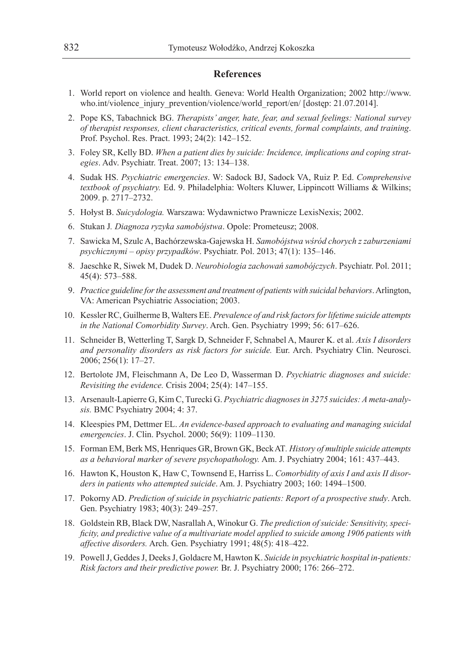#### **References**

- 1. World report on violence and health. Geneva: World Health Organization; 2002 http://www. who.int/violence\_injury\_prevention/violence/world\_report/en/ [dostep: 21.07.2014].
- 2. Pope KS, Tabachnick BG. *Therapists' anger, hate, fear, and sexual feelings: National survey of therapist responses, client characteristics, critical events, formal complaints, and training*. Prof. Psychol. Res. Pract. 1993; 24(2): 142–152.
- 3. Foley SR, Kelly BD. *When a patient dies by suicide: Incidence, implications and coping strategies*. Adv. Psychiatr. Treat. 2007; 13: 134–138.
- 4. Sudak HS. *Psychiatric emergencies*. W: Sadock BJ, Sadock VA, Ruiz P. Ed. *Comprehensive textbook of psychiatry.* Ed. 9. Philadelphia: Wolters Kluwer, Lippincott Williams & Wilkins; 2009. p. 2717–2732.
- 5. Hołyst B. *Suicydologia.* Warszawa: Wydawnictwo Prawnicze LexisNexis; 2002.
- 6. Stukan J*. Diagnoza ryzyka samobójstwa*. Opole: Prometeusz; 2008.
- 7. Sawicka M, Szulc A, Bachórzewska-Gajewska H. *Samobójstwa wśród chorych z zaburzeniami psychicznymi – opisy przypadków*. Psychiatr. Pol. 2013; 47(1): 135–146.
- 8. Jaeschke R, Siwek M, Dudek D. *Neurobiologia zachowań samobójczych*. Psychiatr. Pol. 2011; 45(4): 573–588.
- 9. *Practice guideline for the assessment and treatment of patients with suicidal behaviors*. Arlington, VA: American Psychiatric Association; 2003.
- 10. Kessler RC, Guilherme B, Walters EE. *Prevalence of and risk factors for lifetime suicide attempts in the National Comorbidity Survey*. Arch. Gen. Psychiatry 1999; 56: 617–626.
- 11. Schneider B, Wetterling T, Sargk D, Schneider F, Schnabel A, Maurer K. et al. *Axis I disorders and personality disorders as risk factors for suicide.* Eur. Arch. Psychiatry Clin. Neurosci. 2006; 256(1): 17–27.
- 12. Bertolote JM, Fleischmann A, De Leo D, Wasserman D. *Psychiatric diagnoses and suicide: Revisiting the evidence.* Crisis 2004; 25(4): 147–155.
- 13. Arsenault-Lapierre G, Kim C, Turecki G. *Psychiatric diagnoses in 3275 suicides: A meta-analysis.* BMC Psychiatry 2004; 4: 37.
- 14. Kleespies PM, Dettmer EL. *An evidence-based approach to evaluating and managing suicidal emergencies*. J. Clin. Psychol. 2000; 56(9): 1109–1130.
- 15. Forman EM, Berk MS, Henriques GR, Brown GK, Beck AT*. History of multiple suicide attempts as a behavioral marker of severe psychopathology.* Am. J. Psychiatry 2004; 161: 437–443.
- 16. Hawton K, Houston K, Haw C, Townsend E, Harriss L. *Comorbidity of axis I and axis II disorders in patients who attempted suicide*. Am. J. Psychiatry 2003; 160: 1494–1500.
- 17. Pokorny AD. *Prediction of suicide in psychiatric patients: Report of a prospective study*. Arch. Gen. Psychiatry 1983; 40(3): 249–257.
- 18. Goldstein RB, Black DW, Nasrallah A, Winokur G. *The prediction of suicide: Sensitivity, specificity, and predictive value of a multivariate model applied to suicide among 1906 patients with affective disorders.* Arch. Gen. Psychiatry 1991; 48(5): 418–422.
- 19. Powell J, Geddes J, Deeks J, Goldacre M, Hawton K. *Suicide in psychiatric hospital in-patients: Risk factors and their predictive power.* Br. J. Psychiatry 2000; 176: 266–272.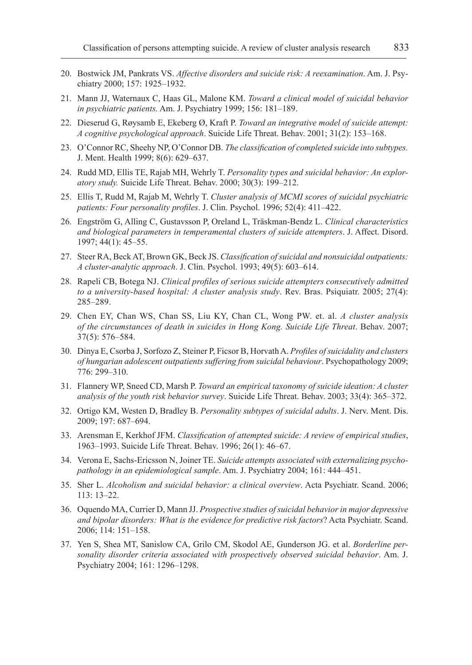- 20. Bostwick JM, Pankrats VS. *Affective disorders and suicide risk: A reexamination*. Am. J. Psychiatry 2000; 157: 1925–1932.
- 21. Mann JJ, Waternaux C, Haas GL, Malone KM. *Toward a clinical model of suicidal behavior in psychiatric patients.* Am. J. Psychiatry 1999; 156: 181–189.
- 22. Dieserud G, Røysamb E, Ekeberg Ø, Kraft P. *Toward an integrative model of suicide attempt: A cognitive psychological approach*. Suicide Life Threat. Behav. 2001; 31(2): 153–168.
- 23. O'Connor RC, Sheehy NP, O'Connor DB. *The classification of completed suicide into subtypes.*  J. Ment. Health 1999; 8(6): 629–637.
- 24. Rudd MD, Ellis TE, Rajab MH, Wehrly T. *Personality types and suicidal behavior: An exploratory study.* Suicide Life Threat. Behav. 2000; 30(3): 199–212.
- 25. Ellis T, Rudd M, Rajab M, Wehrly T. *Cluster analysis of MCMI scores of suicidal psychiatric patients: Four personality profiles*. J. Clin. Psychol. 1996; 52(4): 411–422.
- 26. Engström G, Alling C, Gustavsson P, Oreland L, Träskman-Bendz L. *Clinical characteristics and biological parameters in temperamental clusters of suicide attempters*. J. Affect. Disord. 1997; 44(1): 45–55.
- 27. Steer RA, Beck AT, Brown GK, Beck JS. *Classification of suicidal and nonsuicidal outpatients: A cluster-analytic approach*. J. Clin. Psychol. 1993; 49(5): 603–614.
- 28. Rapeli CB, Botega NJ. *Clinical profiles of serious suicide attempters consecutively admitted to a university-based hospital: A cluster analysis study*. Rev. Bras. Psiquiatr. 2005; 27(4): 285–289.
- 29. Chen EY, Chan WS, Chan SS, Liu KY, Chan CL, Wong PW. et. al. *A cluster analysis of the circumstances of death in suicides in Hong Kong. Suicide Life Threat*. Behav. 2007; 37(5): 576–584.
- 30. Dinya E, Csorba J, Sorfozo Z, Steiner P, Ficsor B, Horvath A. *Profiles of suicidality and clusters of hungarian adolescent outpatients suffering from suicidal behaviour*. Psychopathology 2009; 776: 299–310.
- 31. Flannery WP, Sneed CD, Marsh P. *Toward an empirical taxonomy of suicide ideation: A cluster analysis of the youth risk behavior survey*. Suicide Life Threat. Behav. 2003; 33(4): 365–372.
- 32. Ortigo KM, Westen D, Bradley B. *Personality subtypes of suicidal adults*. J. Nerv. Ment. Dis. 2009; 197: 687–694.
- 33. Arensman E, Kerkhof JFM. *Classification of attempted suicide: A review of empirical studies*, 1963–1993. Suicide Life Threat. Behav. 1996; 26(1): 46–67.
- 34. Verona E, Sachs-Ericsson N, Joiner TE. *Suicide attempts associated with externalizing psychopathology in an epidemiological sample*. Am. J. Psychiatry 2004; 161: 444–451.
- 35. Sher L. *Alcoholism and suicidal behavior: a clinical overview*. Acta Psychiatr. Scand. 2006; 113: 13–22.
- 36. Oquendo MA, Currier D, Mann JJ. *Prospective studies of suicidal behavior in major depressive and bipolar disorders: What is the evidence for predictive risk factors*? Acta Psychiatr. Scand. 2006; 114: 151–158.
- 37. Yen S, Shea MT, Sanislow CA, Grilo CM, Skodol AE, Gunderson JG. et al. *Borderline personality disorder criteria associated with prospectively observed suicidal behavior*. Am. J. Psychiatry 2004; 161: 1296–1298.